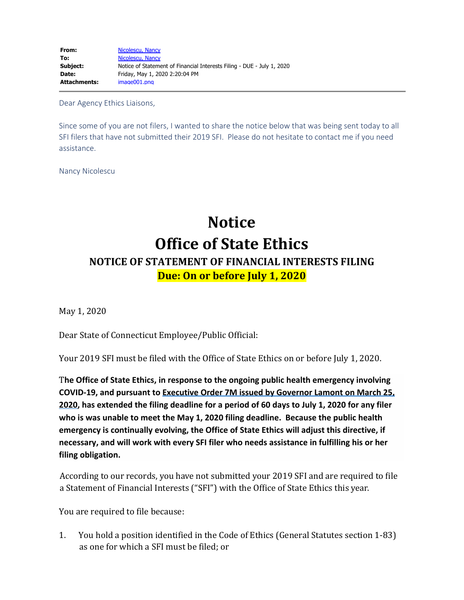Dear Agency Ethics Liaisons,

Since some of you are not filers, I wanted to share the notice below that was being sent today to all SFI filers that have not submitted their 2019 SFI. Please do not hesitate to contact me if you need assistance.

Nancy Nicolescu

# **Notice Office of State Ethics NOTICE OF STATEMENT OF FINANCIAL INTERESTS FILING Due: On or before July 1, 2020**

May 1, 2020

Dear State of Connecticut Employee/Public Official:

Your 2019 SFI must be filed with the Office of State Ethics on or before July 1, 2020.

T**he Office of State Ethics, in response to the ongoing public health emergency involving COVID-19, and pursuant to [Executive Order 7M issued by Governor Lamont on March 25,](https://linkprotect.cudasvc.com/url?a=https%3a%2f%2fportal.ct.gov%2f-%2fmedia%2fOffice-of-the-Governor%2fExecutive-Orders%2fLamont-Executive-Orders%2fExecutive-Order-No-7M.pdf&c=E,1,aBnyZ44z8ODfAcUhIgxhQEAvcTL09hWJEWwBo9NWAxhfrC0lpjTpXYjgEmg55o-L0Jo9RxWx8u9ATL8oZZtYNjB_ebNqTmlrrIh9jsDM3g,,&typo=1) [2020](https://linkprotect.cudasvc.com/url?a=https%3a%2f%2fportal.ct.gov%2f-%2fmedia%2fOffice-of-the-Governor%2fExecutive-Orders%2fLamont-Executive-Orders%2fExecutive-Order-No-7M.pdf&c=E,1,aBnyZ44z8ODfAcUhIgxhQEAvcTL09hWJEWwBo9NWAxhfrC0lpjTpXYjgEmg55o-L0Jo9RxWx8u9ATL8oZZtYNjB_ebNqTmlrrIh9jsDM3g,,&typo=1), has extended the filing deadline for a period of 60 days to July 1, 2020 for any filer who is was unable to meet the May 1, 2020 filing deadline. Because the public health emergency is continually evolving, the Office of State Ethics will adjust this directive, if necessary, and will work with every SFI filer who needs assistance in fulfilling his or her filing obligation.**

According to our records, you have not submitted your 2019 SFI and are required to file a Statement of Financial Interests ("SFI") with the Office of State Ethics this year.

You are required to file because:

1. You hold a position identified in the Code of Ethics (General Statutes section 1-83) as one for which a SFI must be filed; or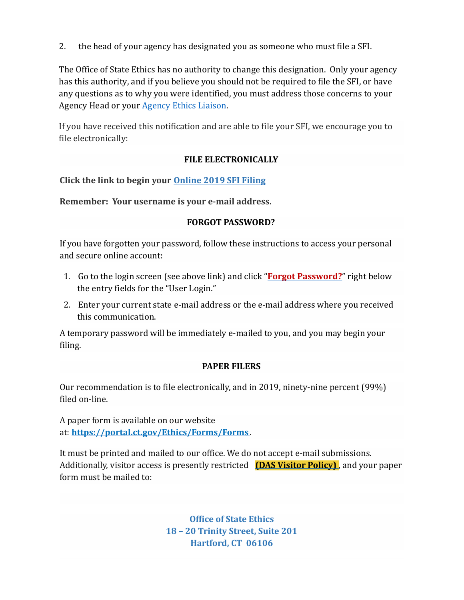2. the head of your agency has designated you as someone who must file a SFI.

The Office of State Ethics has no authority to change this designation. Only your agency has this authority, and if you believe you should not be required to file the SFI, or have any questions as to why you were identified, you must address those concerns to your Agency Head or your [Agency Ethics Liaison.](https://linkprotect.cudasvc.com/url?a=https%3a%2f%2fportal.ct.gov%2fEthics%2fLiaison_Compliance-Corner%2fEthics-LiaisonCompliance-Officer-Corner%2fEthics-Liaisons-and-Compliance-Officers&c=E,1,2-UgcW57MxFJkyeXvjhaySIyg7vU7YFbG0IIQZV3wMvvPvFXbkOA9BtfEkL1zO7sk1hldbKqkUdDFr-AxNGGhqP0dEDQsXdf8YkRbyY594hMGnZcUjkVw10,&typo=1)

If you have received this notification and are able to file your SFI, we encourage you to file electronically:

## **FILE ELECTRONICALLY**

**Click the link to begin your [Online 2019 SFI Filing](https://linkprotect.cudasvc.com/url?a=https%3a%2f%2fwww.oseapps.ct.gov%2fsfi%2fSecurity%2fLoginHome.aspx%3fethicsNav%3d%7c&c=E,1,GRNqa1Wifl6ci269n1uJhR__Z6pP14UuOzhHCcuMIGFoUEhSBCaVX1Sfr_L8Q_qIXKTQDJYDiG7qwk1Cv30ht41i7Hd0RjiMkwu1GU604YnL&typo=1)**

**Remember: Your username is your e-mail address.**

## **FORGOT PASSWORD?**

If you have forgotten your password, follow these instructions to access your personal and secure online account:

- 1. Go to the login screen (see above link) and click "**[Forgot Password?](https://linkprotect.cudasvc.com/url?a=https%3a%2f%2fwww.oseapps.ct.gov%2fsfi%2fRegistration%2fForgotPassword.aspx&c=E,1,FaJuKD3zuJKFv1U4MPN1NaJbengxz3_X_4lwTOa62dFmp3NDhdN-emLRRmFegF3ClQYfCGyKJ1rV-Zzt2rzfG1RlaL9tiQMpVxj6JCvKg0pWkwA,&typo=1)**" right below the entry fields for the "User Login."
- 2. Enter your current state e-mail address or the e-mail address where you received this communication.

A temporary password will be immediately e-mailed to you, and you may begin your filing.

## **PAPER FILERS**

Our recommendation is to file electronically, and in 2019, ninety-nine percent (99%) filed on-line.

A paper form is available on our website at: **[https://portal.ct.gov/Ethics/Forms/Forms](https://linkprotect.cudasvc.com/url?a=https%3a%2f%2fportal.ct.gov%2fEthics%2fForms%2fForms&c=E,1,niXkwvFY8jrYzCJc8SD3NNiMQ8HmkRYPoyGI9L0v_RDe_S7U4gNDGSVP38wRkKEs-l8byuazHzcK4_K2XH_cIQgMLD3KgIqbCNL1IO8nklJ-Xh_kugmQO8JP&typo=1)**.

It must be printed and mailed to our office. We do not accept e-mail submissions. Additionally, visitor access is presently restricted **[\(DAS Visitor Policy\)](https://linkprotect.cudasvc.com/url?a=https%3a%2f%2fportal.ct.gov%2f-%2fmedia%2fEthics%2fPublic-Information%2fDAS_VisitorPolicy.pdf&c=E,1,tp1mZwK-klvGXnZr8CFU54hLnnYZzvPgwUUhVAnl2FEYcRhfa1np61hUYlr3GaCUHGT6nbnEFvx8jJvEQOiXNKgycbuSI_hUloCvegD8ro-q_cBHCMG5DIM,&typo=1)** , and your paper form must be mailed to:

> **Office of State Ethics 18 – 20 Trinity Street, Suite 201 Hartford, CT 06106**